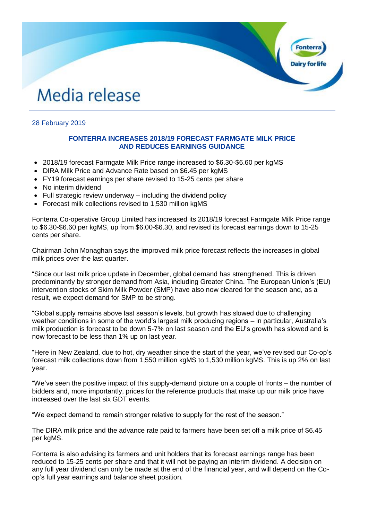# Media release

## 28 February 2019

### **FONTERRA INCREASES 2018/19 FORECAST FARMGATE MILK PRICE AND REDUCES EARNINGS GUIDANCE**

**Fonter** 

- 2018/19 forecast Farmgate Milk Price range increased to \$6.30-\$6.60 per kgMS
- DIRA Milk Price and Advance Rate based on \$6.45 per kgMS
- FY19 forecast earnings per share revised to 15-25 cents per share
- No interim dividend
- Full strategic review underway including the dividend policy
- Forecast milk collections revised to 1,530 million kgMS

Fonterra Co-operative Group Limited has increased its 2018/19 forecast Farmgate Milk Price range to \$6.30-\$6.60 per kgMS, up from \$6.00-\$6.30, and revised its forecast earnings down to 15-25 cents per share.

Chairman John Monaghan says the improved milk price forecast reflects the increases in global milk prices over the last quarter.

"Since our last milk price update in December, global demand has strengthened. This is driven predominantly by stronger demand from Asia, including Greater China. The European Union's (EU) intervention stocks of Skim Milk Powder (SMP) have also now cleared for the season and, as a result, we expect demand for SMP to be strong.

"Global supply remains above last season's levels, but growth has slowed due to challenging weather conditions in some of the world's largest milk producing regions – in particular, Australia's milk production is forecast to be down 5-7% on last season and the EU's growth has slowed and is now forecast to be less than 1% up on last year.

"Here in New Zealand, due to hot, dry weather since the start of the year, we've revised our Co-op's forecast milk collections down from 1,550 million kgMS to 1,530 million kgMS. This is up 2% on last year.

"We've seen the positive impact of this supply-demand picture on a couple of fronts – the number of bidders and, more importantly, prices for the reference products that make up our milk price have increased over the last six GDT events.

"We expect demand to remain stronger relative to supply for the rest of the season."

The DIRA milk price and the advance rate paid to farmers have been set off a milk price of \$6.45 per kgMS.

Fonterra is also advising its farmers and unit holders that its forecast earnings range has been reduced to 15-25 cents per share and that it will not be paying an interim dividend. A decision on any full year dividend can only be made at the end of the financial year, and will depend on the Coop's full year earnings and balance sheet position.